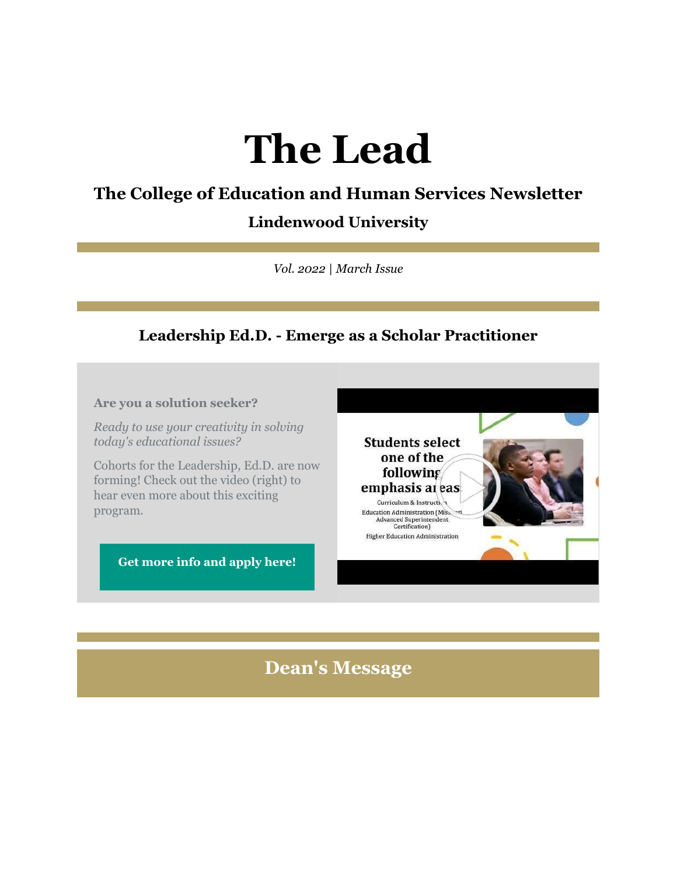# **The Lead**

# **The College of Education and Human Services Newsletter**

### **Lindenwood University**

*Vol. 2022 | March Issue*

# **Leadership Ed.D. - Emerge as a Scholar Practitioner**

### **Are you a solution seeker?**

*Ready to use your creativity in solving today's educational issues?*

Cohorts for the Leadership, Ed.D. are now forming! Check out the video (right) to hear even more about this exciting program.

**[Get more info and apply here!](https://nam04.safelinks.protection.outlook.com/?url=https%3A%2F%2Fr20.rs6.net%2Ftn.jsp%3Ff%3D001RwJbrR1rycLvZm9RY5nTOQqIID-zx5VzpgvTMieowEqI5Kcwl3kLZWS7cnO5uD2sY5CR-F1zUBCr_PnKjHaU-wslu69NAU71ZkBT6d-uPN8c_44Xn5HEC-AwoLF12DhccxaEVhuunAofqjRO6rYMK_ZW6nkksWTse1HGB2DYGIcqloc3Vd_4Eyjh4VnY2QFXnotKsmvYdDq40t6zu4oY8EJwnYNXvG-Ovh8bKeHx5R7i3_TWw60b-VUNNDZPkKzCpfFigQgspaXv2MDoQQ-g9w%3D%3D%26c%3DS_5prijEaq2HEnmye7wklVbSR8BFXLk9XYyk4-0oVfinC2EzocGmNg%3D%3D%26ch%3DVJjzTsRrkbGSmFCU7hFQube9uowKm_iHHMo7dHR-3URrAge27Y-QSA%3D%3D&data=04%7C01%7Cphuffman%40lindenwood.edu%7C3e3cb4b4082f4f08f9c208d9fbc6974c%7C3d72f08e540a4c68905d9e69c4d9c61e%7C1%7C0%7C637817652626903677%7CUnknown%7CTWFpbGZsb3d8eyJWIjoiMC4wLjAwMDAiLCJQIjoiV2luMzIiLCJBTiI6Ik1haWwiLCJXVCI6Mn0%3D%7C3000&sdata=oOM1xava31Qq0rKW00gkadphRS6b3ETrm3GyXETuV4A%3D&reserved=0)**



**Higher Education Administration** 

**Dean's Message**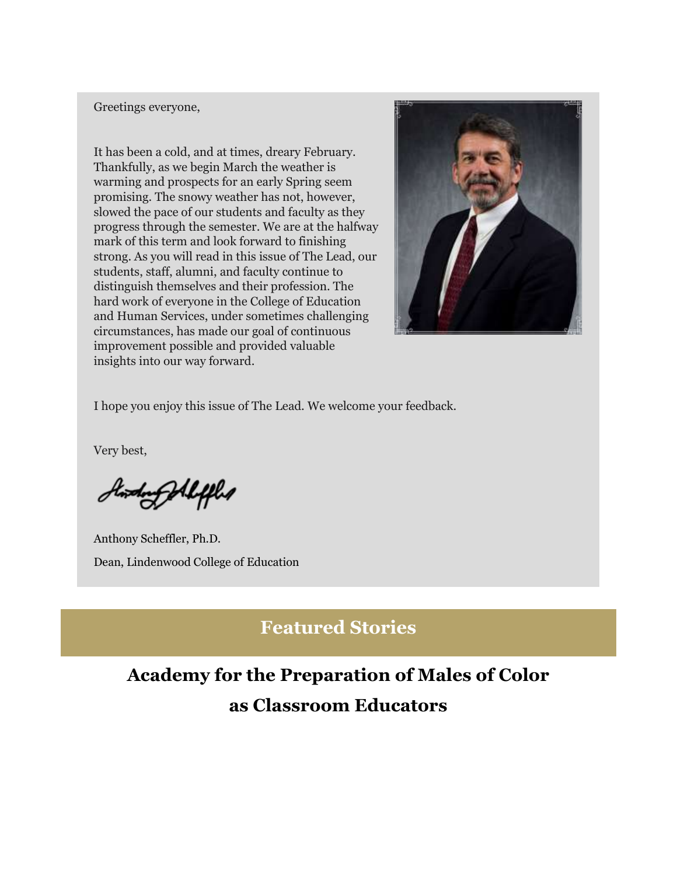#### Greetings everyone,

It has been a cold, and at times, dreary February. Thankfully, as we begin March the weather is warming and prospects for an early Spring seem promising. The snowy weather has not, however, slowed the pace of our students and faculty as they progress through the semester. We are at the halfway mark of this term and look forward to finishing strong. As you will read in this issue of The Lead, our students, staff, alumni, and faculty continue to distinguish themselves and their profession. The hard work of everyone in the College of Education and Human Services, under sometimes challenging circumstances, has made our goal of continuous improvement possible and provided valuable insights into our way forward.



I hope you enjoy this issue of The Lead. We welcome your feedback.

Very best,

Stording All fled

Anthony Scheffler, Ph.D. Dean, Lindenwood College of Education

# **Featured Stories**

# **Academy for the Preparation of Males of Color as Classroom Educators**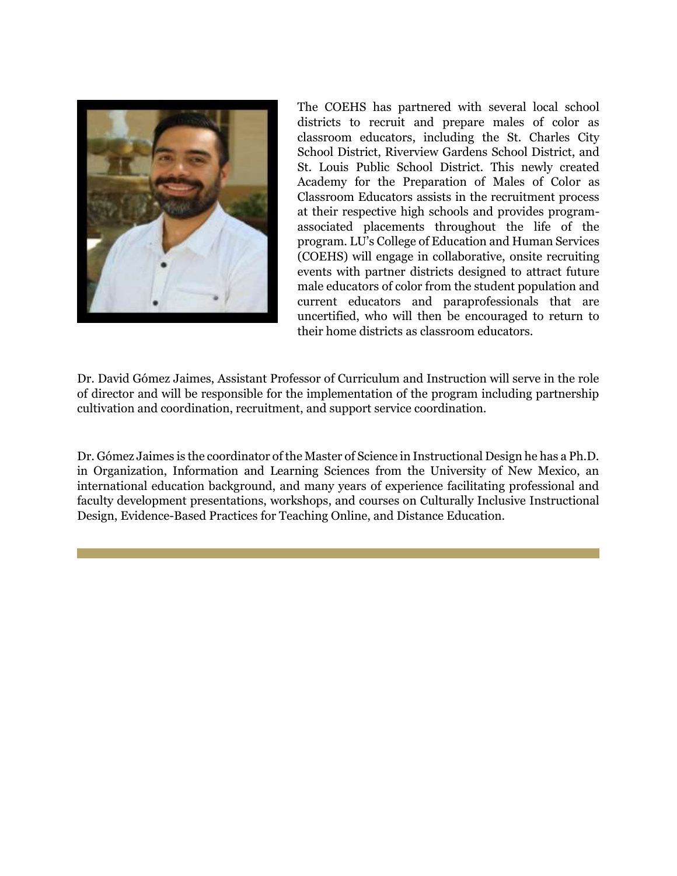

The COEHS has partnered with several local school districts to recruit and prepare males of color as classroom educators, including the St. Charles City School District, Riverview Gardens School District, and St. Louis Public School District. This newly created Academy for the Preparation of Males of Color as Classroom Educators assists in the recruitment process at their respective high schools and provides programassociated placements throughout the life of the program. LU's College of Education and Human Services (COEHS) will engage in collaborative, onsite recruiting events with partner districts designed to attract future male educators of color from the student population and current educators and paraprofessionals that are uncertified, who will then be encouraged to return to their home districts as classroom educators.

Dr. David Gómez Jaimes, Assistant Professor of Curriculum and Instruction will serve in the role of director and will be responsible for the implementation of the program including partnership cultivation and coordination, recruitment, and support service coordination.

Dr. Gómez Jaimes is the coordinator of the Master of Science in Instructional Design he has a Ph.D. in Organization, Information and Learning Sciences from the University of New Mexico, an international education background, and many years of experience facilitating professional and faculty development presentations, workshops, and courses on Culturally Inclusive Instructional Design, Evidence-Based Practices for Teaching Online, and Distance Education.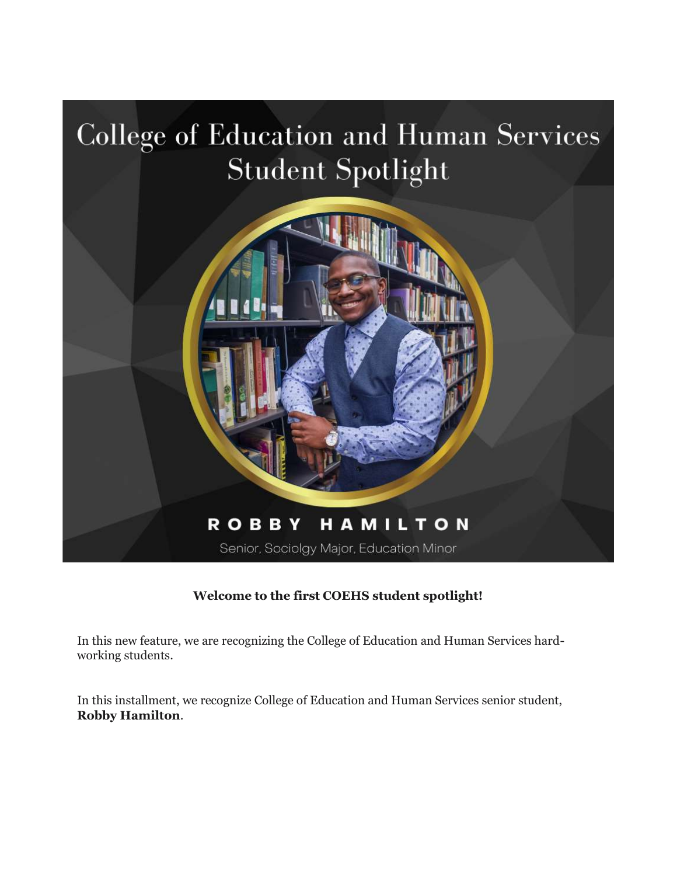

### **Welcome to the first COEHS student spotlight!**

In this new feature, we are recognizing the College of Education and Human Services hardworking students.

In this installment, we recognize College of Education and Human Services senior student, **Robby Hamilton**.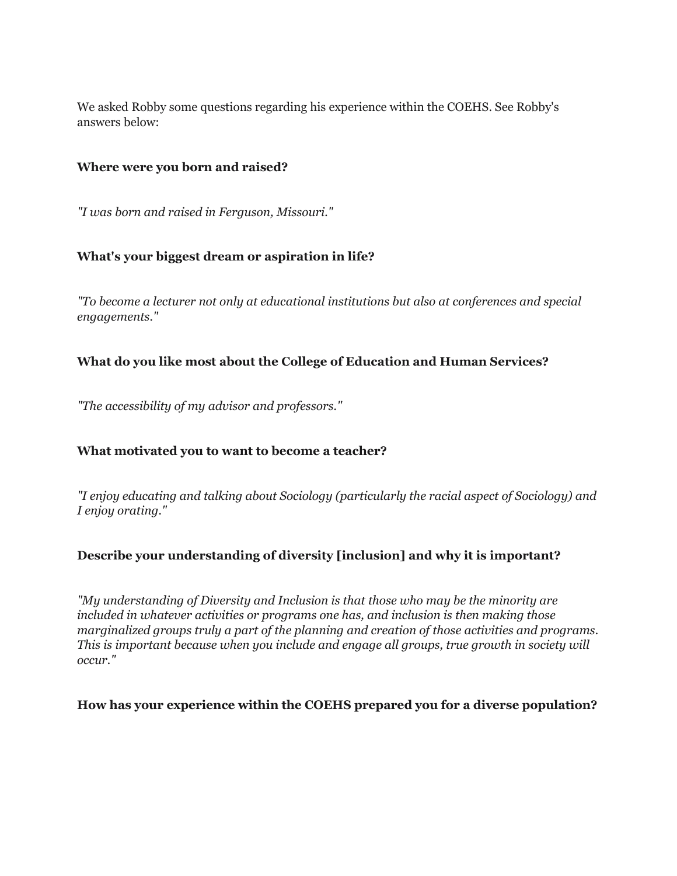We asked Robby some questions regarding his experience within the COEHS. See Robby's answers below:

### **Where were you born and raised?**

*"I was born and raised in Ferguson, Missouri."*

### **What's your biggest dream or aspiration in life?**

*"To become a lecturer not only at educational institutions but also at conferences and special engagements."*

### **What do you like most about the College of Education and Human Services?**

*"The accessibility of my advisor and professors."*

### **What motivated you to want to become a teacher?**

*"I enjoy educating and talking about Sociology (particularly the racial aspect of Sociology) and I enjoy orating."*

### **Describe your understanding of diversity [inclusion] and why it is important?**

*"My understanding of Diversity and Inclusion is that those who may be the minority are included in whatever activities or programs one has, and inclusion is then making those marginalized groups truly a part of the planning and creation of those activities and programs. This is important because when you include and engage all groups, true growth in society will occur."*

#### **How has your experience within the COEHS prepared you for a diverse population?**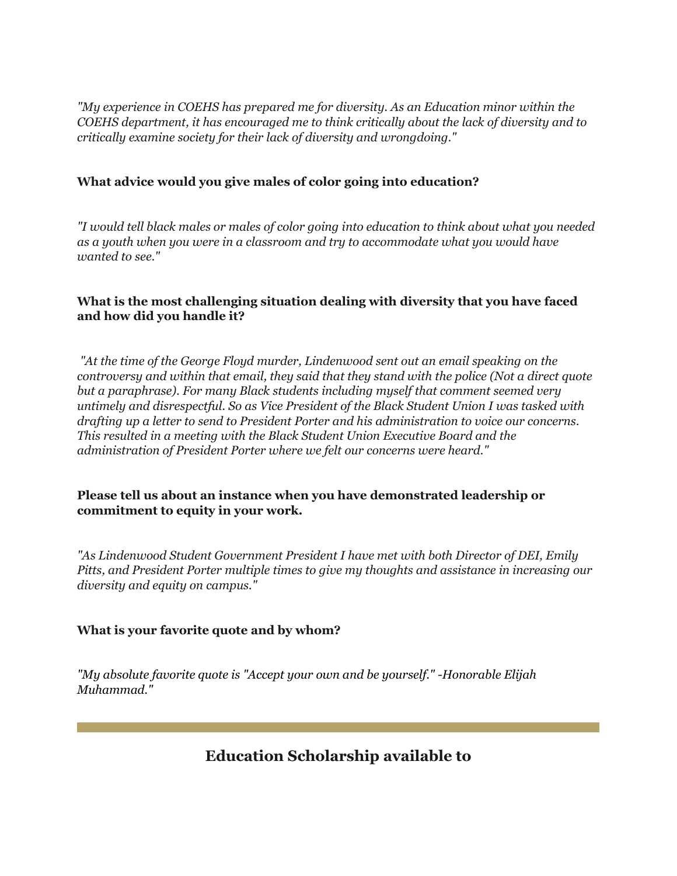*"My experience in COEHS has prepared me for diversity. As an Education minor within the COEHS department, it has encouraged me to think critically about the lack of diversity and to critically examine society for their lack of diversity and wrongdoing."*

### **What advice would you give males of color going into education?**

*"I would tell black males or males of color going into education to think about what you needed as a youth when you were in a classroom and try to accommodate what you would have wanted to see."*

### **What is the most challenging situation dealing with diversity that you have faced and how did you handle it?**

*"At the time of the George Floyd murder, Lindenwood sent out an email speaking on the controversy and within that email, they said that they stand with the police (Not a direct quote but a paraphrase). For many Black students including myself that comment seemed very untimely and disrespectful. So as Vice President of the Black Student Union I was tasked with drafting up a letter to send to President Porter and his administration to voice our concerns. This resulted in a meeting with the Black Student Union Executive Board and the administration of President Porter where we felt our concerns were heard."*

### **Please tell us about an instance when you have demonstrated leadership or commitment to equity in your work.**

*"As Lindenwood Student Government President I have met with both Director of DEI, Emily Pitts, and President Porter multiple times to give my thoughts and assistance in increasing our diversity and equity on campus."*

### **What is your favorite quote and by whom?**

*"My absolute favorite quote is "Accept your own and be yourself." -Honorable Elijah Muhammad."*

**Education Scholarship available to**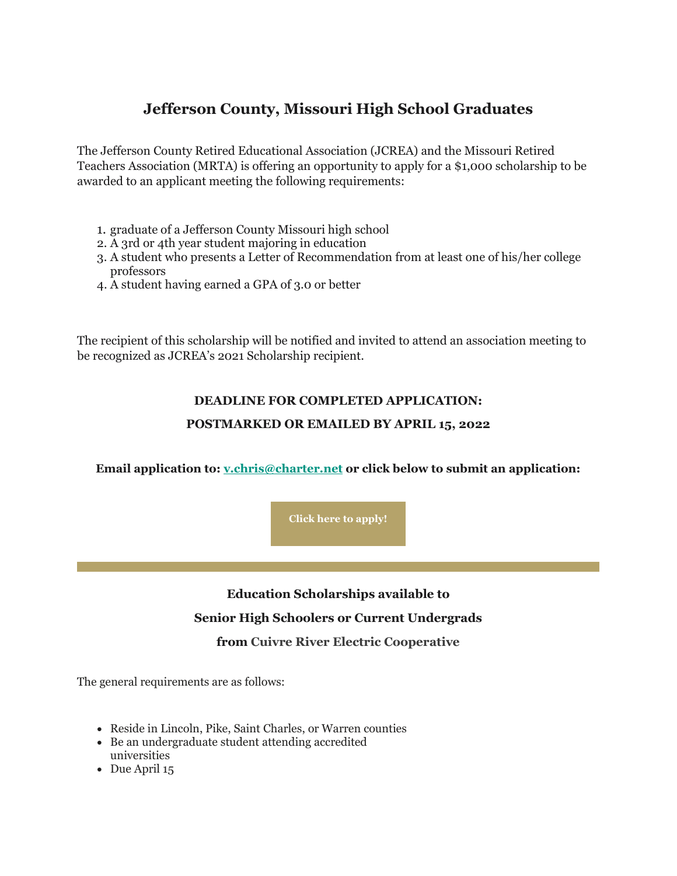# **Jefferson County, Missouri High School Graduates**

The Jefferson County Retired Educational Association (JCREA) and the Missouri Retired Teachers Association (MRTA) is offering an opportunity to apply for a \$1,000 scholarship to be awarded to an applicant meeting the following requirements:

- 1. graduate of a Jefferson County Missouri high school
- 2. A 3rd or 4th year student majoring in education
- 3. A student who presents a Letter of Recommendation from at least one of his/her college professors
- 4. A student having earned a GPA of 3.0 or better

The recipient of this scholarship will be notified and invited to attend an association meeting to be recognized as JCREA's 2021 Scholarship recipient.

### **DEADLINE FOR COMPLETED APPLICATION:**

#### **POSTMARKED OR EMAILED BY APRIL 15, 2022**

**Email application to: [v.chris@charter.net](mailto:v.chris@charter.net) or click below to submit an application:**

**[Click here to apply!](https://nam04.safelinks.protection.outlook.com/?url=https%3A%2F%2Fr20.rs6.net%2Ftn.jsp%3Ff%3D001RwJbrR1rycLvZm9RY5nTOQqIID-zx5VzpgvTMieowEqI5Kcwl3kLZRUenmwISGq8GdLpHkCv--qIXMUSP20Z9QqOfRA7etYIxbiHvvyQwxOzNVRz0Hi8Qt7c2gIgTl6l0xti3iACxohQ1Qde_Vt0dj88277NXYjfINmflP02vKjBAX08EeVKRu11icqEKhao4I4WK3Ek8FZxdX47B4ObGHaQMeqlllWelF8hLd0hkRLifXDsuM2jhuNAX377ayjq%26c%3DS_5prijEaq2HEnmye7wklVbSR8BFXLk9XYyk4-0oVfinC2EzocGmNg%3D%3D%26ch%3DVJjzTsRrkbGSmFCU7hFQube9uowKm_iHHMo7dHR-3URrAge27Y-QSA%3D%3D&data=04%7C01%7Cphuffman%40lindenwood.edu%7C3e3cb4b4082f4f08f9c208d9fbc6974c%7C3d72f08e540a4c68905d9e69c4d9c61e%7C1%7C0%7C637817652626903677%7CUnknown%7CTWFpbGZsb3d8eyJWIjoiMC4wLjAwMDAiLCJQIjoiV2luMzIiLCJBTiI6Ik1haWwiLCJXVCI6Mn0%3D%7C3000&sdata=8Kl1azi5jshB9UzFXG83X0qSR4oUmBhmGAqCPsNnwV0%3D&reserved=0)**

# **Education Scholarships available to**

#### **Senior High Schoolers or Current Undergrads**

#### **from Cuivre River Electric Cooperative**

The general requirements are as follows:

- Reside in Lincoln, Pike, Saint Charles, or Warren counties
- Be an undergraduate student attending accredited universities
- Due April 15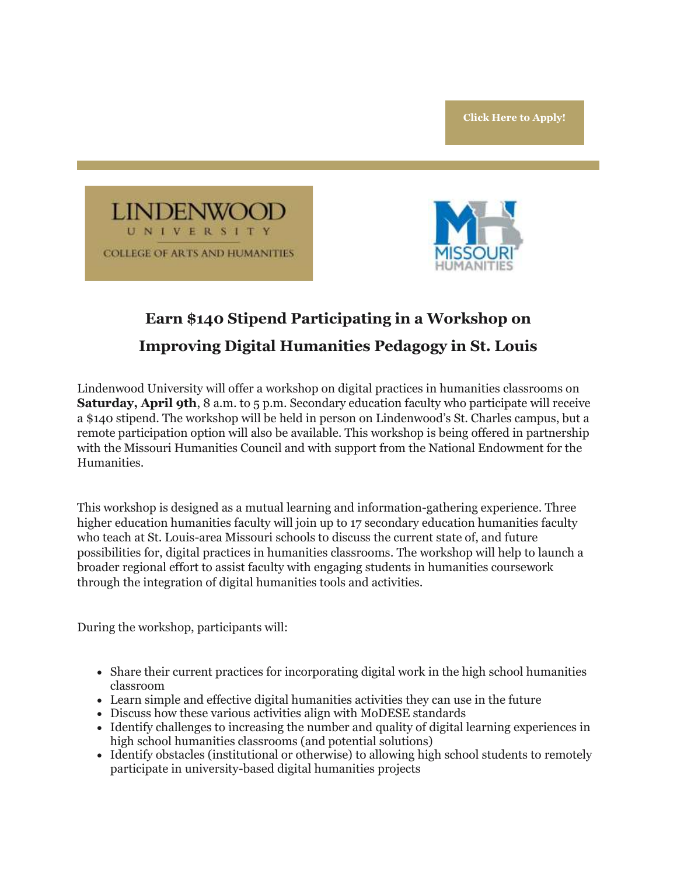



# **Earn \$140 Stipend Participating in a Workshop on Improving Digital Humanities Pedagogy in St. Louis**

Lindenwood University will offer a workshop on digital practices in humanities classrooms on **Saturday, April 9th, 8 a.m. to 5 p.m. Secondary education faculty who participate will receive** a \$140 stipend. The workshop will be held in person on Lindenwood's St. Charles campus, but a remote participation option will also be available. This workshop is being offered in partnership with the Missouri Humanities Council and with support from the National Endowment for the Humanities.

This workshop is designed as a mutual learning and information-gathering experience. Three higher education humanities faculty will join up to 17 secondary education humanities faculty who teach at St. Louis-area Missouri schools to discuss the current state of, and future possibilities for, digital practices in humanities classrooms. The workshop will help to launch a broader regional effort to assist faculty with engaging students in humanities coursework through the integration of digital humanities tools and activities.

During the workshop, participants will:

- Share their current practices for incorporating digital work in the high school humanities classroom
- Learn simple and effective digital humanities activities they can use in the future
- Discuss how these various activities align with MoDESE standards
- Identify challenges to increasing the number and quality of digital learning experiences in high school humanities classrooms (and potential solutions)
- Identify obstacles (institutional or otherwise) to allowing high school students to remotely participate in university-based digital humanities projects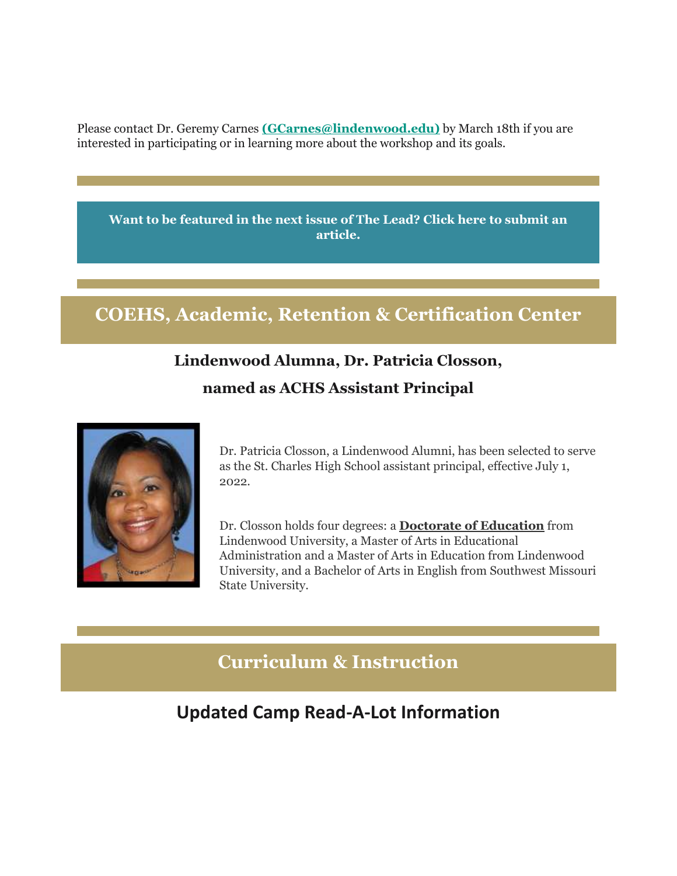Please contact Dr. Geremy Carnes **[\(GCarnes@lindenwood.edu\)](mailto:GCarnes@lindenwood.edu)** by March 18th if you are interested in participating or in learning more about the workshop and its goals.

**[Want to be featured in the next issue of The Lead? Click here to submit an](https://nam04.safelinks.protection.outlook.com/?url=https%3A%2F%2Fr20.rs6.net%2Ftn.jsp%3Ff%3D001RwJbrR1rycLvZm9RY5nTOQqIID-zx5VzpgvTMieowEqI5Kcwl3kLZXrl9Xv3cWbC7ntq2AKY7aRIz9yihjSzWVp2sZozWC3FG6yQ3UOv2j0uNngaQ2ff7lic4EA28WetvcqXGcFxgGIlswgaEkAt-fQHQ8uNftt7e3r9JlnXKic%3D%26c%3DS_5prijEaq2HEnmye7wklVbSR8BFXLk9XYyk4-0oVfinC2EzocGmNg%3D%3D%26ch%3DVJjzTsRrkbGSmFCU7hFQube9uowKm_iHHMo7dHR-3URrAge27Y-QSA%3D%3D&data=04%7C01%7Cphuffman%40lindenwood.edu%7C3e3cb4b4082f4f08f9c208d9fbc6974c%7C3d72f08e540a4c68905d9e69c4d9c61e%7C1%7C0%7C637817652626903677%7CUnknown%7CTWFpbGZsb3d8eyJWIjoiMC4wLjAwMDAiLCJQIjoiV2luMzIiLCJBTiI6Ik1haWwiLCJXVCI6Mn0%3D%7C3000&sdata=rGJi4cATLS%2Bgyy507Ww4EEdrLi4AZa0UjID6aqhl9JI%3D&reserved=0)  [article.](https://nam04.safelinks.protection.outlook.com/?url=https%3A%2F%2Fr20.rs6.net%2Ftn.jsp%3Ff%3D001RwJbrR1rycLvZm9RY5nTOQqIID-zx5VzpgvTMieowEqI5Kcwl3kLZXrl9Xv3cWbC7ntq2AKY7aRIz9yihjSzWVp2sZozWC3FG6yQ3UOv2j0uNngaQ2ff7lic4EA28WetvcqXGcFxgGIlswgaEkAt-fQHQ8uNftt7e3r9JlnXKic%3D%26c%3DS_5prijEaq2HEnmye7wklVbSR8BFXLk9XYyk4-0oVfinC2EzocGmNg%3D%3D%26ch%3DVJjzTsRrkbGSmFCU7hFQube9uowKm_iHHMo7dHR-3URrAge27Y-QSA%3D%3D&data=04%7C01%7Cphuffman%40lindenwood.edu%7C3e3cb4b4082f4f08f9c208d9fbc6974c%7C3d72f08e540a4c68905d9e69c4d9c61e%7C1%7C0%7C637817652626903677%7CUnknown%7CTWFpbGZsb3d8eyJWIjoiMC4wLjAwMDAiLCJQIjoiV2luMzIiLCJBTiI6Ik1haWwiLCJXVCI6Mn0%3D%7C3000&sdata=rGJi4cATLS%2Bgyy507Ww4EEdrLi4AZa0UjID6aqhl9JI%3D&reserved=0)**

# **COEHS, Academic, Retention & Certification Center**

# **Lindenwood Alumna, Dr. Patricia Closson,**

### **named as ACHS Assistant Principal**



Dr. Patricia Closson, a Lindenwood Alumni, has been selected to serve as the St. Charles High School assistant principal, effective July 1, 2022.

Dr. Closson holds four degrees: a **Doctorate of Education** from Lindenwood University, a Master of Arts in Educational Administration and a Master of Arts in Education from Lindenwood University, and a Bachelor of Arts in English from Southwest Missouri State University.

# **Curriculum & Instruction**

# **Updated Camp Read-A-Lot Information**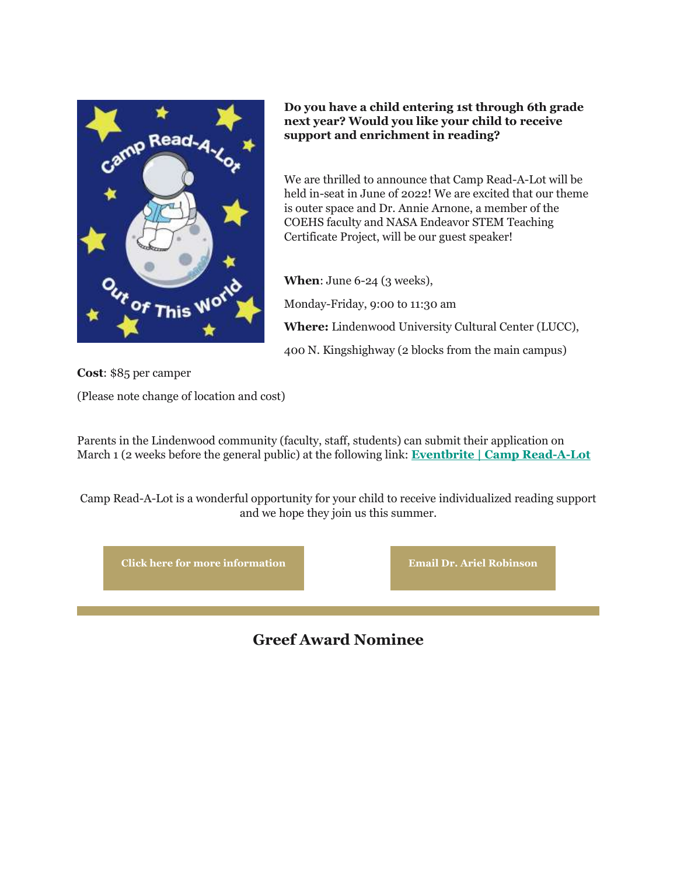

**Do you have a child entering 1st through 6th grade next year? Would you like your child to receive support and enrichment in reading?** 

We are thrilled to announce that Camp Read-A-Lot will be held in-seat in June of 2022! We are excited that our theme is outer space and Dr. Annie Arnone, a member of the COEHS faculty and NASA Endeavor STEM Teaching Certificate Project, will be our guest speaker!

**When**: June 6-24 (3 weeks), Monday-Friday, 9:00 to 11:30 am **Where:** Lindenwood University Cultural Center (LUCC), 400 N. Kingshighway (2 blocks from the main campus)

**Cost**: \$85 per camper

(Please note change of location and cost)

Parents in the Lindenwood community (faculty, staff, students) can submit their application on March 1 (2 weeks before the general public) at the following link: **[Eventbrite | Camp Read-A-Lot](https://nam04.safelinks.protection.outlook.com/?url=https%3A%2F%2Fr20.rs6.net%2Ftn.jsp%3Ff%3D001RwJbrR1rycLvZm9RY5nTOQqIID-zx5VzpgvTMieowEqI5Kcwl3kLZXrl9Xv3cWbC2ZhXWy2yA7PUJgK-kYwkwfNBawWKk3nsFIzGmtiJuqmJSNgGTUSgXncbVc-g1UTEAGpRQwXFHbVZnXNyuclX0Ky17n7XKEQRz0Ah_oBRXFFe4Br6aeiIuVgL31mkkfUuLnhGJCzDKztxu6ltWgCJJA%3D%3D%26c%3DS_5prijEaq2HEnmye7wklVbSR8BFXLk9XYyk4-0oVfinC2EzocGmNg%3D%3D%26ch%3DVJjzTsRrkbGSmFCU7hFQube9uowKm_iHHMo7dHR-3URrAge27Y-QSA%3D%3D&data=04%7C01%7Cphuffman%40lindenwood.edu%7C3e3cb4b4082f4f08f9c208d9fbc6974c%7C3d72f08e540a4c68905d9e69c4d9c61e%7C1%7C0%7C637817652626903677%7CUnknown%7CTWFpbGZsb3d8eyJWIjoiMC4wLjAwMDAiLCJQIjoiV2luMzIiLCJBTiI6Ik1haWwiLCJXVCI6Mn0%3D%7C3000&sdata=12dhyYaoegFRAp7XxOzL9K6XSM7wWZW9oC1LNb5qv%2FU%3D&reserved=0)**

Camp Read-A-Lot is a wonderful opportunity for your child to receive individualized reading support and we hope they join us this summer.



**Greef Award Nominee**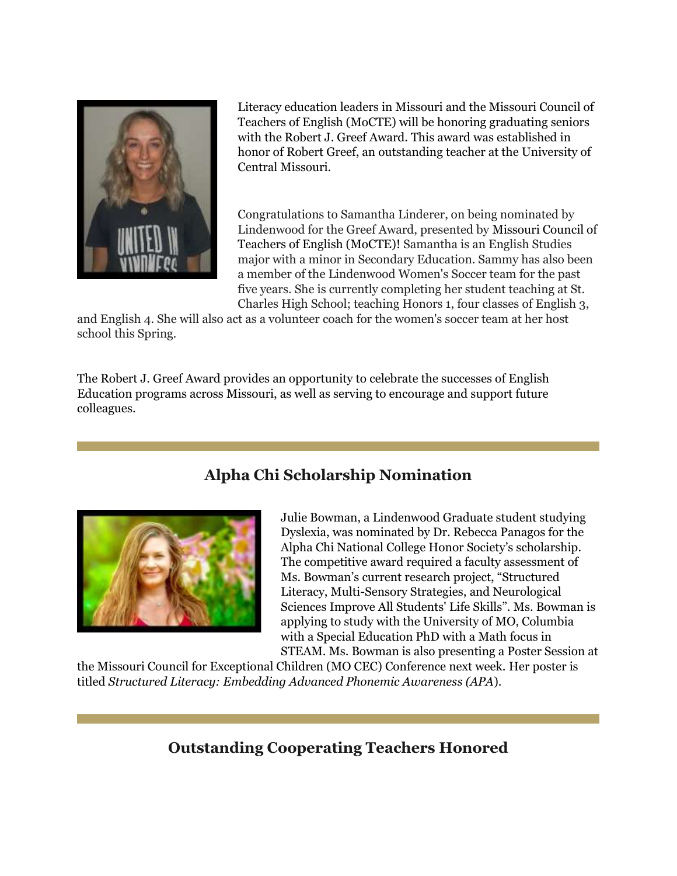

Literacy education leaders in Missouri and the Missouri Council of Teachers of English (MoCTE) will be honoring graduating seniors with the Robert J. Greef Award. This award was established in honor of Robert Greef, an outstanding teacher at the University of Central Missouri.

Congratulations to Samantha Linderer, on being nominated by Lindenwood for the Greef Award, presented by Missouri Council of Teachers of English (MoCTE)! Samantha is an English Studies major with a minor in Secondary Education. Sammy has also been a member of the Lindenwood Women's Soccer team for the past five years. She is currently completing her student teaching at St. Charles High School; teaching Honors 1, four classes of English 3,

and English 4. She will also act as a volunteer coach for the women's soccer team at her host school this Spring.

The Robert J. Greef Award provides an opportunity to celebrate the successes of English Education programs across Missouri, as well as serving to encourage and support future colleagues.

# **Alpha Chi Scholarship Nomination**



Julie Bowman, a Lindenwood Graduate student studying Dyslexia, was nominated by Dr. Rebecca Panagos for the Alpha Chi National College Honor Society's scholarship. The competitive award required a faculty assessment of Ms. Bowman's current research project, "Structured Literacy, Multi-Sensory Strategies, and Neurological Sciences Improve All Students' Life Skills". Ms. Bowman is applying to study with the University of MO, Columbia with a Special Education PhD with a Math focus in STEAM. Ms. Bowman is also presenting a Poster Session at

the Missouri Council for Exceptional Children (MO CEC) Conference next week. Her poster is titled *Structured Literacy: Embedding Advanced Phonemic Awareness (APA*).

### **Outstanding Cooperating Teachers Honored**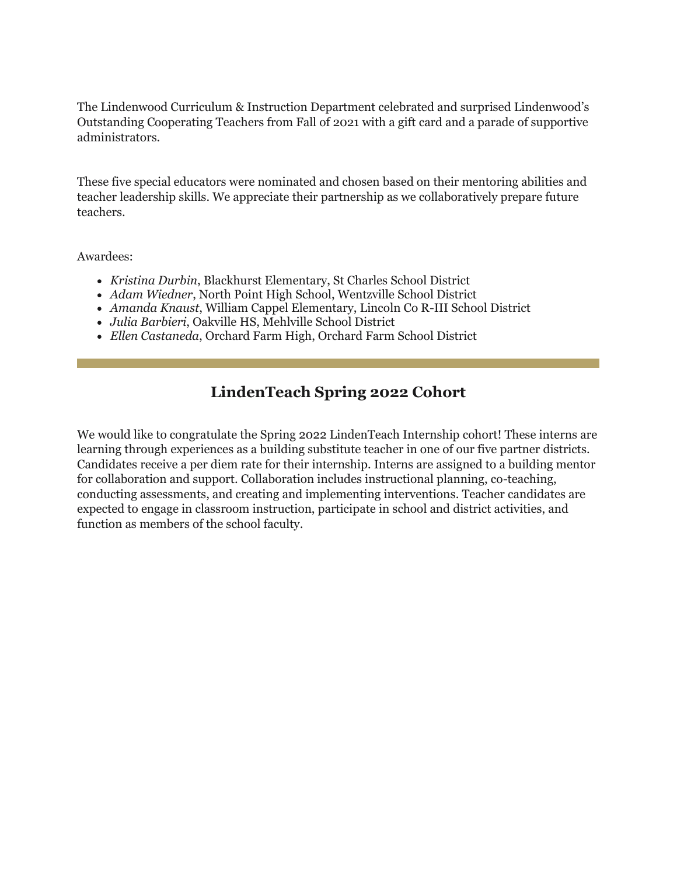The Lindenwood Curriculum & Instruction Department celebrated and surprised Lindenwood's Outstanding Cooperating Teachers from Fall of 2021 with a gift card and a parade of supportive administrators.

These five special educators were nominated and chosen based on their mentoring abilities and teacher leadership skills. We appreciate their partnership as we collaboratively prepare future teachers.

#### Awardees:

- *Kristina Durbin*, Blackhurst Elementary, St Charles School District
- *Adam Wiedner*, North Point High School, Wentzville School District
- *Amanda Knaust*, William Cappel Elementary, Lincoln Co R-III School District
- *Julia Barbieri*, Oakville HS, Mehlville School District
- *Ellen Castaneda*, Orchard Farm High, Orchard Farm School District

### **LindenTeach Spring 2022 Cohort**

We would like to congratulate the Spring 2022 LindenTeach Internship cohort! These interns are learning through experiences as a building substitute teacher in one of our five partner districts. Candidates receive a per diem rate for their internship. Interns are assigned to a building mentor for collaboration and support. Collaboration includes instructional planning, co-teaching, conducting assessments, and creating and implementing interventions. Teacher candidates are expected to engage in classroom instruction, participate in school and district activities, and function as members of the school faculty.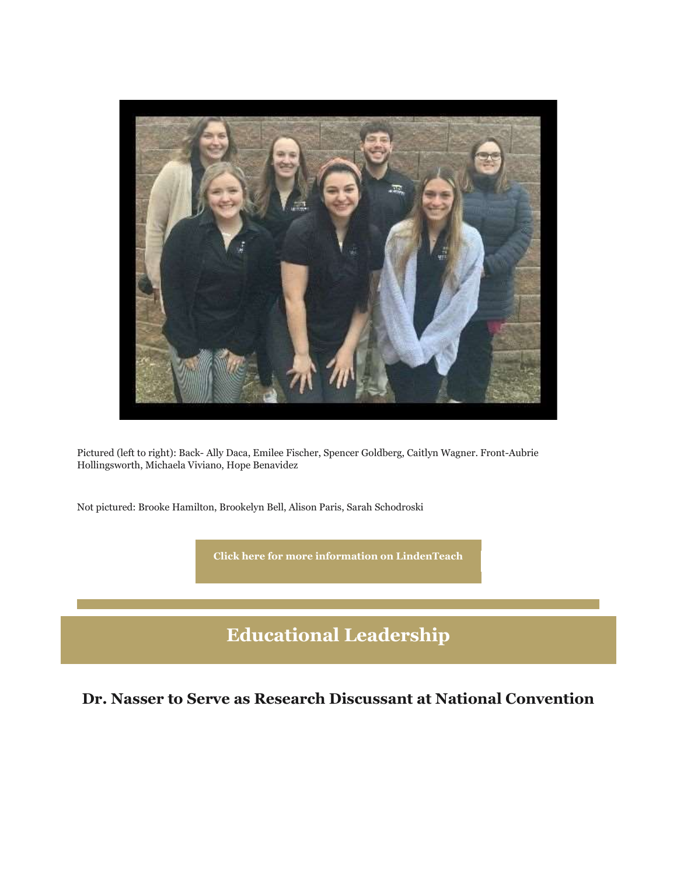

Pictured (left to right): Back- Ally Daca, Emilee Fischer, Spencer Goldberg, Caitlyn Wagner. Front-Aubrie Hollingsworth, Michaela Viviano, Hope Benavidez

Not pictured: Brooke Hamilton, Brookelyn Bell, Alison Paris, Sarah Schodroski

**[Click here for more information on LindenTeach](https://nam04.safelinks.protection.outlook.com/?url=https%3A%2F%2Fr20.rs6.net%2Ftn.jsp%3Ff%3D001RwJbrR1rycLvZm9RY5nTOQqIID-zx5VzpgvTMieowEqI5Kcwl3kLZWYuQbQogrTo-VjF8vkRVliWd1ibbeWFnzdbh6G7DSweqobAbm7NzpTmJLjGfHj2B3hilMOrrIPZVJNA72agYJ6If-xKhI8T7RVueQt41Kdyv1o98ccIw1VMMioaDZZTrE6GJuZyxL3M2fJPoWG8UJ73OBt6fnJA1Q%3D%3D%26c%3DS_5prijEaq2HEnmye7wklVbSR8BFXLk9XYyk4-0oVfinC2EzocGmNg%3D%3D%26ch%3DVJjzTsRrkbGSmFCU7hFQube9uowKm_iHHMo7dHR-3URrAge27Y-QSA%3D%3D&data=04%7C01%7Cphuffman%40lindenwood.edu%7C3e3cb4b4082f4f08f9c208d9fbc6974c%7C3d72f08e540a4c68905d9e69c4d9c61e%7C1%7C0%7C637817652626903677%7CUnknown%7CTWFpbGZsb3d8eyJWIjoiMC4wLjAwMDAiLCJQIjoiV2luMzIiLCJBTiI6Ik1haWwiLCJXVCI6Mn0%3D%7C3000&sdata=%2BYx3yZ1RzzKtXTVZNtT%2FEumaffEGf0LD6HKJdpBoIIg%3D&reserved=0)**

# **Educational Leadership**

**Dr. Nasser to Serve as Research Discussant at National Convention**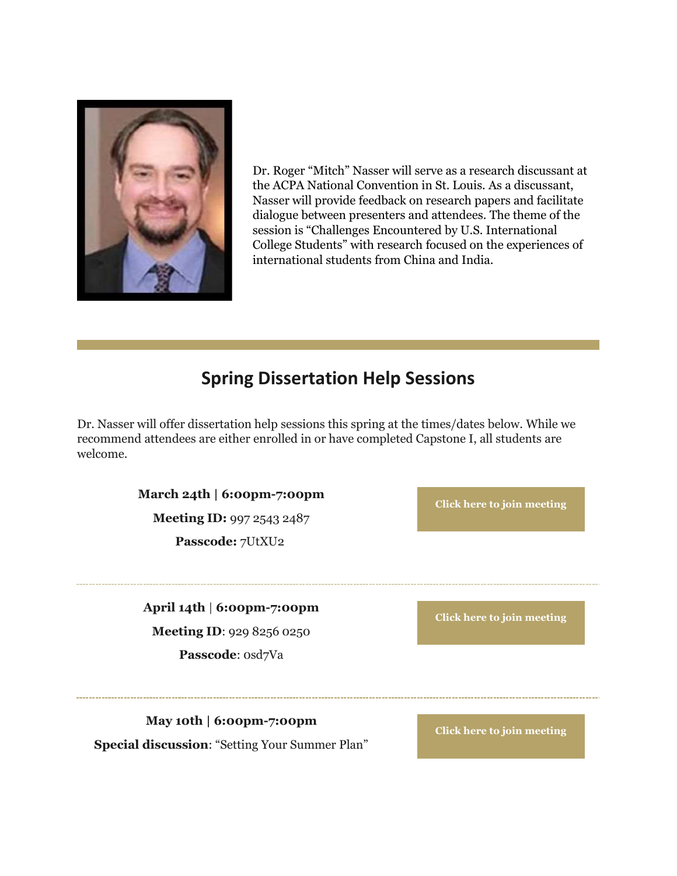

Dr. Roger "Mitch" Nasser will serve as a research discussant at the ACPA National Convention in St. Louis. As a discussant, Nasser will provide feedback on research papers and facilitate dialogue between presenters and attendees. The theme of the session is "Challenges Encountered by U.S. International College Students" with research focused on the experiences of international students from China and India.

# **Spring Dissertation Help Sessions**

Dr. Nasser will offer dissertation help sessions this spring at the times/dates below. While we recommend attendees are either enrolled in or have completed Capstone I, all students are welcome.

**March 24th | 6:00pm-7:00pm**

**Meeting ID:** 997 2543 2487 **Passcode:** 7UtXU2

**[Click here to join meeting](https://nam04.safelinks.protection.outlook.com/?url=https%3A%2F%2Fr20.rs6.net%2Ftn.jsp%3Ff%3D001RwJbrR1rycLvZm9RY5nTOQqIID-zx5VzpgvTMieowEqI5Kcwl3kLZXrl9Xv3cWbCVMXdq-JAgTe2om-kzJoUIGyPRgHDiGo7pzOpnWfQMnlWbS10rs5vgb6mT7Oool9SipzHS5kvrRj5L9jDVGFeclnAgs0KD2KxCyiEOw2jcI-2g5Tg4k4hZBdBXlQLHw22o0SRThkHVYKnhwil7gEfAg%3D%3D%26c%3DS_5prijEaq2HEnmye7wklVbSR8BFXLk9XYyk4-0oVfinC2EzocGmNg%3D%3D%26ch%3DVJjzTsRrkbGSmFCU7hFQube9uowKm_iHHMo7dHR-3URrAge27Y-QSA%3D%3D&data=04%7C01%7Cphuffman%40lindenwood.edu%7C3e3cb4b4082f4f08f9c208d9fbc6974c%7C3d72f08e540a4c68905d9e69c4d9c61e%7C1%7C0%7C637817652626903677%7CUnknown%7CTWFpbGZsb3d8eyJWIjoiMC4wLjAwMDAiLCJQIjoiV2luMzIiLCJBTiI6Ik1haWwiLCJXVCI6Mn0%3D%7C3000&sdata=E7crujfUffsrtCGyw0j6AQFEdNmCxSetaHtU3iYC1ZI%3D&reserved=0)**

**April 14th** | **6:00pm-7:00pm Meeting ID**: 929 8256 0250 Passcode: 0sd7Va

**[Click here to join meeting](https://nam04.safelinks.protection.outlook.com/?url=https%3A%2F%2Fr20.rs6.net%2Ftn.jsp%3Ff%3D001RwJbrR1rycLvZm9RY5nTOQqIID-zx5VzpgvTMieowEqI5Kcwl3kLZXrl9Xv3cWbCK5Z6KVF7hoHrwuCDvfFMvJIC1KuayG-DRgKAOarKk7vC76UDiO13WlftDtlQ8Y_68cP9067HRg5RtQXmtDxn3V81ZY1YzDRM9lwxxlL26x1cz1YfC2382yBcLYfdKqTEd5WCWGv6lJkMSFwuz6mK9w%3D%3D%26c%3DS_5prijEaq2HEnmye7wklVbSR8BFXLk9XYyk4-0oVfinC2EzocGmNg%3D%3D%26ch%3DVJjzTsRrkbGSmFCU7hFQube9uowKm_iHHMo7dHR-3URrAge27Y-QSA%3D%3D&data=04%7C01%7Cphuffman%40lindenwood.edu%7C3e3cb4b4082f4f08f9c208d9fbc6974c%7C3d72f08e540a4c68905d9e69c4d9c61e%7C1%7C0%7C637817652626903677%7CUnknown%7CTWFpbGZsb3d8eyJWIjoiMC4wLjAwMDAiLCJQIjoiV2luMzIiLCJBTiI6Ik1haWwiLCJXVCI6Mn0%3D%7C3000&sdata=oxUaxdeV8TaL9Zj0%2Frck%2B%2B0TRr%2BtvbZcb8p4BULKQmw%3D&reserved=0)**

**May 10th | 6:00pm-7:00pm Special discussion**: "Setting Your Summer Plan"

**[Click here to join meeting](https://nam04.safelinks.protection.outlook.com/?url=https%3A%2F%2Fr20.rs6.net%2Ftn.jsp%3Ff%3D001RwJbrR1rycLvZm9RY5nTOQqIID-zx5VzpgvTMieowEqI5Kcwl3kLZXrl9Xv3cWbCwJuNiYSwfiaXwgpU_Iwih7VosZcW3VGuU5tT-erJMkLfWeFePjz5l-e0m0QDKQrrt9bh2rqdZLtVXM9phy1KYSUTw9kP-dGVopOWdFzI4ug_KrZTbrHkOX8FQ5xk9fKyoej6dMMjkqP5ByArSMcVdA%3D%3D%26c%3DS_5prijEaq2HEnmye7wklVbSR8BFXLk9XYyk4-0oVfinC2EzocGmNg%3D%3D%26ch%3DVJjzTsRrkbGSmFCU7hFQube9uowKm_iHHMo7dHR-3URrAge27Y-QSA%3D%3D&data=04%7C01%7Cphuffman%40lindenwood.edu%7C3e3cb4b4082f4f08f9c208d9fbc6974c%7C3d72f08e540a4c68905d9e69c4d9c61e%7C1%7C0%7C637817652626903677%7CUnknown%7CTWFpbGZsb3d8eyJWIjoiMC4wLjAwMDAiLCJQIjoiV2luMzIiLCJBTiI6Ik1haWwiLCJXVCI6Mn0%3D%7C3000&sdata=c5bkXpMJM09xv0i9xcHDl80rsXHIXPaVpQ35WddV6Tg%3D&reserved=0)**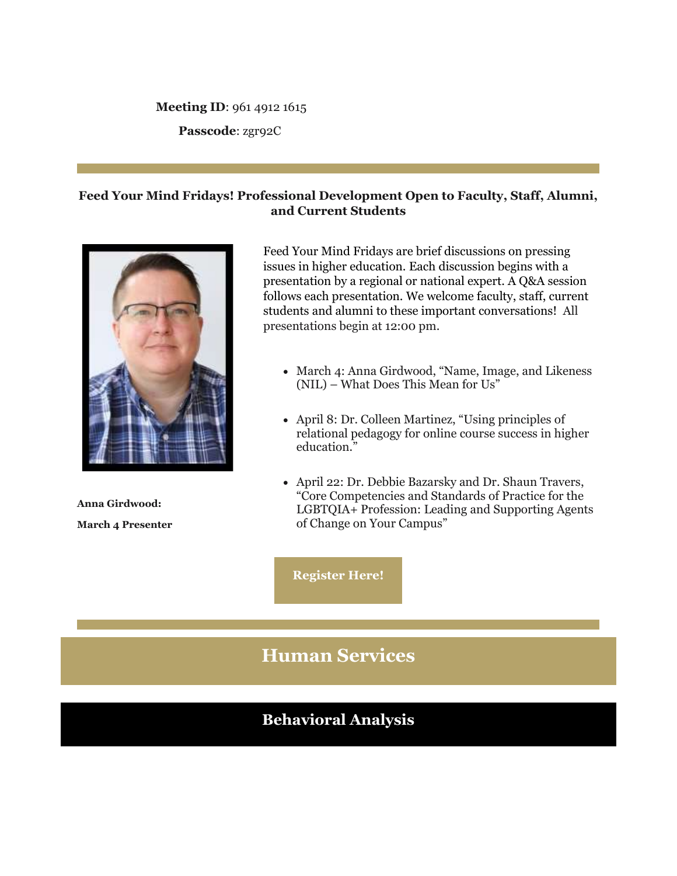#### **Meeting ID**: 961 4912 1615

**Passcode**: zgr92C

### **Feed Your Mind Fridays! Professional Development Open to Faculty, Staff, Alumni, and Current Students**



**Anna Girdwood: March 4 Presenter**

Feed Your Mind Fridays are brief discussions on pressing issues in higher education. Each discussion begins with a presentation by a regional or national expert. A Q&A session follows each presentation. We welcome faculty, staff, current students and alumni to these important conversations! All presentations begin at 12:00 pm.

- March 4: Anna Girdwood, "Name, Image, and Likeness (NIL) – What Does This Mean for Us"
- April 8: Dr. Colleen Martinez, "Using principles of relational pedagogy for online course success in higher education."
- April 22: Dr. Debbie Bazarsky and Dr. Shaun Travers, "Core Competencies and Standards of Practice for the LGBTQIA+ Profession: Leading and Supporting Agents of Change on Your Campus"

**[Register Here!](https://nam04.safelinks.protection.outlook.com/?url=https%3A%2F%2Fr20.rs6.net%2Ftn.jsp%3Ff%3D001RwJbrR1rycLvZm9RY5nTOQqIID-zx5VzpgvTMieowEqI5Kcwl3kLZRUenmwISGq8fePFyXzv3DpxsysLP0eFpH6JLHJAfOujk2yzEYZPAVxop8hXoAK8Cd6N_yYyXuS8P_YUWHgJrod_kVsEBjMBJwegWPrqKhHNj6NP5jDm9-0wL_XHGMGJTA%3D%3D%26c%3DS_5prijEaq2HEnmye7wklVbSR8BFXLk9XYyk4-0oVfinC2EzocGmNg%3D%3D%26ch%3DVJjzTsRrkbGSmFCU7hFQube9uowKm_iHHMo7dHR-3URrAge27Y-QSA%3D%3D&data=04%7C01%7Cphuffman%40lindenwood.edu%7C3e3cb4b4082f4f08f9c208d9fbc6974c%7C3d72f08e540a4c68905d9e69c4d9c61e%7C1%7C0%7C637817652626903677%7CUnknown%7CTWFpbGZsb3d8eyJWIjoiMC4wLjAwMDAiLCJQIjoiV2luMzIiLCJBTiI6Ik1haWwiLCJXVCI6Mn0%3D%7C3000&sdata=5HhPyj6wDCtBPDYDWcyR1dlZWp6MPSsdJWVL8o2JkNo%3D&reserved=0)**

# **Human Services**

# **Behavioral Analysis**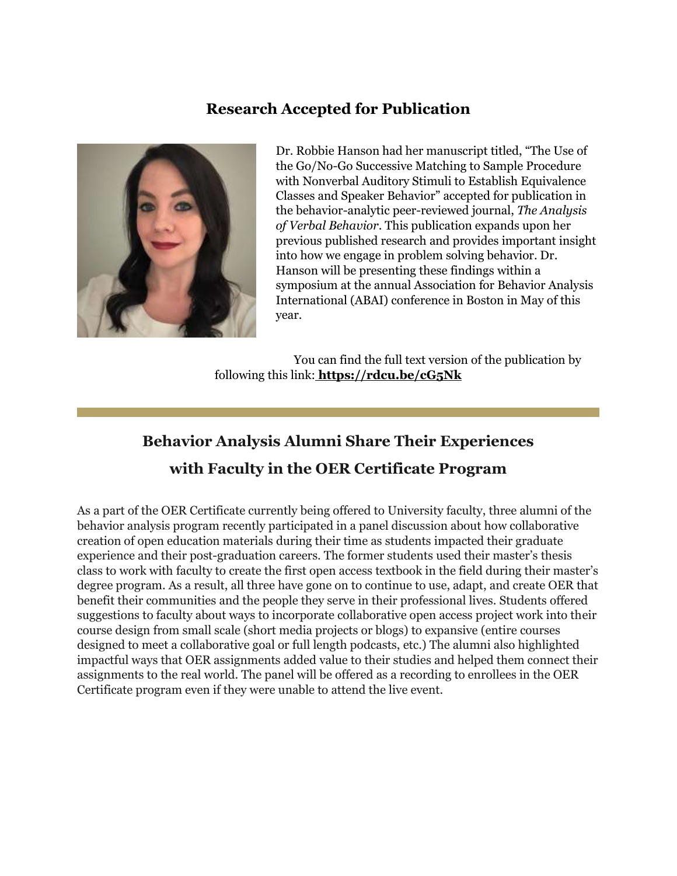### **Research Accepted for Publication**



Dr. Robbie Hanson had her manuscript titled, "The Use of the Go/No-Go Successive Matching to Sample Procedure with Nonverbal Auditory Stimuli to Establish Equivalence Classes and Speaker Behavior" accepted for publication in the behavior-analytic peer-reviewed journal, *The Analysis of Verbal Behavior*. This publication expands upon her previous published research and provides important insight into how we engage in problem solving behavior. Dr. Hanson will be presenting these findings within a symposium at the annual Association for Behavior Analysis International (ABAI) conference in Boston in May of this year.

You can find the full text version of the publication by following this link: **[https://rdcu.be/cG5Nk](https://nam04.safelinks.protection.outlook.com/?url=https%3A%2F%2Fr20.rs6.net%2Ftn.jsp%3Ff%3D001RwJbrR1rycLvZm9RY5nTOQqIID-zx5VzpgvTMieowEqI5Kcwl3kLZXrl9Xv3cWbCvftJbvJJIi3Bv5ZwKaVNs-6UrV9-V3_8Rg4ohsO-qsgTjEdiNfaqeFLvUD9rvA2l6NFNbb_5ADU%3D%26c%3DS_5prijEaq2HEnmye7wklVbSR8BFXLk9XYyk4-0oVfinC2EzocGmNg%3D%3D%26ch%3DVJjzTsRrkbGSmFCU7hFQube9uowKm_iHHMo7dHR-3URrAge27Y-QSA%3D%3D&data=04%7C01%7Cphuffman%40lindenwood.edu%7C3e3cb4b4082f4f08f9c208d9fbc6974c%7C3d72f08e540a4c68905d9e69c4d9c61e%7C1%7C0%7C637817652626903677%7CUnknown%7CTWFpbGZsb3d8eyJWIjoiMC4wLjAwMDAiLCJQIjoiV2luMzIiLCJBTiI6Ik1haWwiLCJXVCI6Mn0%3D%7C3000&sdata=C3iC%2FQ5rcZZZTK1uCy4aK8cTfGTDj0cBNLM4rCcIz9U%3D&reserved=0)**

# **Behavior Analysis Alumni Share Their Experiences with Faculty in the OER Certificate Program**

As a part of the OER Certificate currently being offered to University faculty, three alumni of the behavior analysis program recently participated in a panel discussion about how collaborative creation of open education materials during their time as students impacted their graduate experience and their post-graduation careers. The former students used their master's thesis class to work with faculty to create the first open access textbook in the field during their master's degree program. As a result, all three have gone on to continue to use, adapt, and create OER that benefit their communities and the people they serve in their professional lives. Students offered suggestions to faculty about ways to incorporate collaborative open access project work into their course design from small scale (short media projects or blogs) to expansive (entire courses designed to meet a collaborative goal or full length podcasts, etc.) The alumni also highlighted impactful ways that OER assignments added value to their studies and helped them connect their assignments to the real world. The panel will be offered as a recording to enrollees in the OER Certificate program even if they were unable to attend the live event.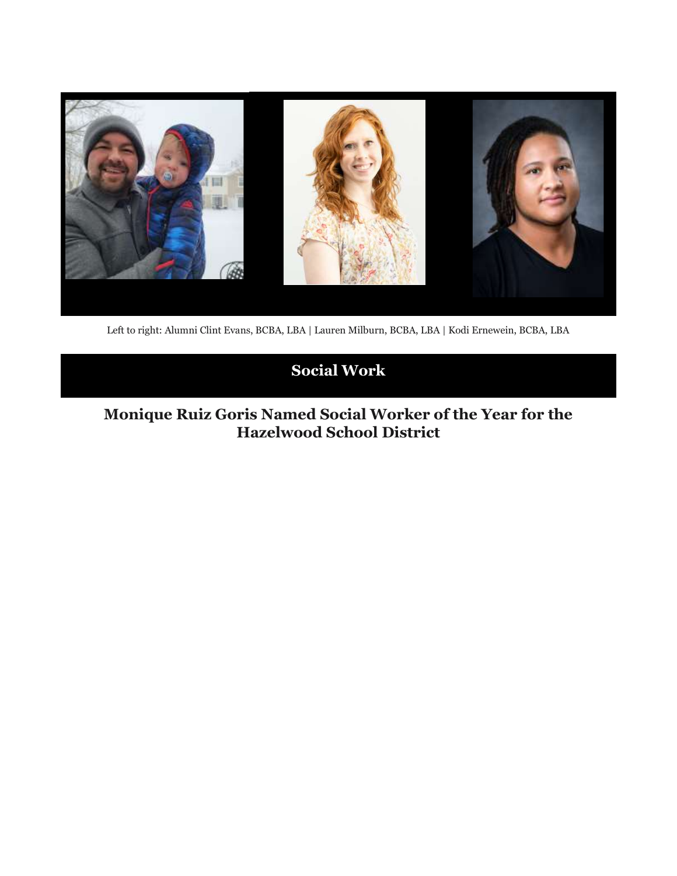

Left to right: Alumni Clint Evans, BCBA, LBA | Lauren Milburn, BCBA, LBA | Kodi Ernewein, BCBA, LBA

# **Social Work**

# **Monique Ruiz Goris Named Social Worker of the Year for the Hazelwood School District**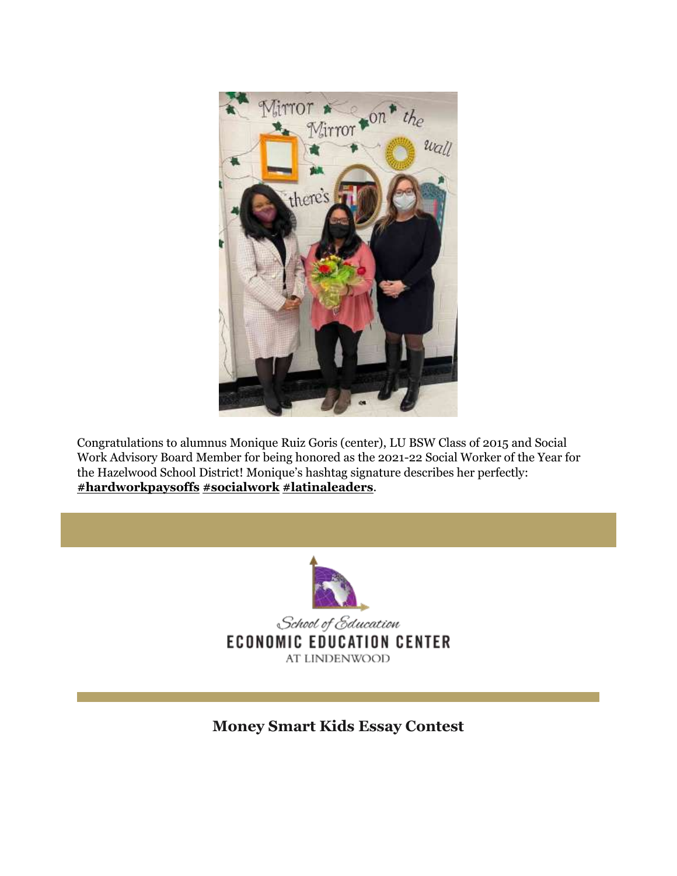

Congratulations to alumnus Monique Ruiz Goris (center), LU BSW Class of 2015 and Social Work Advisory Board Member for being honored as the 2021-22 Social Worker of the Year for the Hazelwood School District! Monique's hashtag signature describes her perfectly: **[#hardworkpaysoffs](https://nam04.safelinks.protection.outlook.com/?url=https%3A%2F%2Fr20.rs6.net%2Ftn.jsp%3Ff%3D001RwJbrR1rycLvZm9RY5nTOQqIID-zx5VzpgvTMieowEqI5Kcwl3kLZXrl9Xv3cWbCYnztV1Y_Okkii52FGt4-clBYtFH7epParXnbIxJfmLa5LGOCrcMAwoY4aYi5vLwM4-Em-twaeYhCHlwgBqDYMw3eR2ory-8ELojRjRjBe9So-W3FsuVf_3ttIiDI2_0KXhyHgjcGc0DyrxGgIvpJnirbtU78ux_UVv009yzReVblsFkZ2G7CMJtHFQqVI1fZVVgJrz3EKNb50kXLPHEX-EIB8LX4VGCo5l8gVTPsY2088wmzmunsGA%3D%3D%26c%3DS_5prijEaq2HEnmye7wklVbSR8BFXLk9XYyk4-0oVfinC2EzocGmNg%3D%3D%26ch%3DVJjzTsRrkbGSmFCU7hFQube9uowKm_iHHMo7dHR-3URrAge27Y-QSA%3D%3D&data=04%7C01%7Cphuffman%40lindenwood.edu%7C3e3cb4b4082f4f08f9c208d9fbc6974c%7C3d72f08e540a4c68905d9e69c4d9c61e%7C1%7C0%7C637817652626903677%7CUnknown%7CTWFpbGZsb3d8eyJWIjoiMC4wLjAwMDAiLCJQIjoiV2luMzIiLCJBTiI6Ik1haWwiLCJXVCI6Mn0%3D%7C3000&sdata=YYRt%2F0VELOAROnge1xOhhvJ5k6%2BfqEObmgg%2BEd8OH7I%3D&reserved=0) [#socialwork](https://nam04.safelinks.protection.outlook.com/?url=https%3A%2F%2Fr20.rs6.net%2Ftn.jsp%3Ff%3D001RwJbrR1rycLvZm9RY5nTOQqIID-zx5VzpgvTMieowEqI5Kcwl3kLZXrl9Xv3cWbCoYyzH5duZflf7Ic4d9OOsuB3hXRlcT22xiDw4DDHTdTf3AxjusCE6KKKpjnJz0WBLi7KDRVewEGqo_EruKERR0XqzF4_y9KBucEJkSTGZIlNcrdlJnMFRtYwS14rn_GBJImP8zRly2LqXV6EeFH-6NH_Pr0JjBI1LcEIX40PLHGjz-0OFhNEJdb0mt_LQEqXkZ6m6a9jA8fCKfsoIwYKre7RQ0nQD03S_nxVnYH6ycI%3D%26c%3DS_5prijEaq2HEnmye7wklVbSR8BFXLk9XYyk4-0oVfinC2EzocGmNg%3D%3D%26ch%3DVJjzTsRrkbGSmFCU7hFQube9uowKm_iHHMo7dHR-3URrAge27Y-QSA%3D%3D&data=04%7C01%7Cphuffman%40lindenwood.edu%7C3e3cb4b4082f4f08f9c208d9fbc6974c%7C3d72f08e540a4c68905d9e69c4d9c61e%7C1%7C0%7C637817652626903677%7CUnknown%7CTWFpbGZsb3d8eyJWIjoiMC4wLjAwMDAiLCJQIjoiV2luMzIiLCJBTiI6Ik1haWwiLCJXVCI6Mn0%3D%7C3000&sdata=d%2Fk27R%2FJaspxw486ShjmEPZX59ZzSA2H447qA5Ruhe8%3D&reserved=0) [#latinaleaders](https://nam04.safelinks.protection.outlook.com/?url=https%3A%2F%2Fr20.rs6.net%2Ftn.jsp%3Ff%3D001RwJbrR1rycLvZm9RY5nTOQqIID-zx5VzpgvTMieowEqI5Kcwl3kLZXrl9Xv3cWbCVT-_Iq0mNYSLgTfzpQFuXP90OiJ5aDeNUarVnRHBKCVY97hL0lgNsb9U_gf9KZ9lU_5ldjb4Ckqp3vT6akWY2BCbrewJacX6LuQnne1XVK5bbTLCRCFiaGARlmpnWc78PUITjUDkLA6rnkvA9IRoQM7NdK7ZPTt7V38FbsUVumt2Y97g1KnfgKvqo_YDSax-oxUgwncIabWIXdC6qqrEGgG1Cyeds3TCIU8aeXwfdcEzid6UMU8KGWAqY5AGueQsv8uOwaI29CYGSAhH1bvVuKADesxFiUg8CfocVhRT4YszT8k9dVyRyVBl3bLi4088Y1pZXEEs-Ne3J7rnZdzPcCN3xr8LF_bJQsbyAmxbAb9p5AnWhevCUKQV2thfko_78lLTBXnjhaAaV1ukYJl6iWgCP2dYFEfJ%26c%3DS_5prijEaq2HEnmye7wklVbSR8BFXLk9XYyk4-0oVfinC2EzocGmNg%3D%3D%26ch%3DVJjzTsRrkbGSmFCU7hFQube9uowKm_iHHMo7dHR-3URrAge27Y-QSA%3D%3D&data=04%7C01%7Cphuffman%40lindenwood.edu%7C3e3cb4b4082f4f08f9c208d9fbc6974c%7C3d72f08e540a4c68905d9e69c4d9c61e%7C1%7C0%7C637817652626903677%7CUnknown%7CTWFpbGZsb3d8eyJWIjoiMC4wLjAwMDAiLCJQIjoiV2luMzIiLCJBTiI6Ik1haWwiLCJXVCI6Mn0%3D%7C3000&sdata=JHcm%2BfEudiNgPuP1EQpMbXpBMRt1Q%2B%2B3PkLwsCuiPiE%3D&reserved=0)**.



**Money Smart Kids Essay Contest**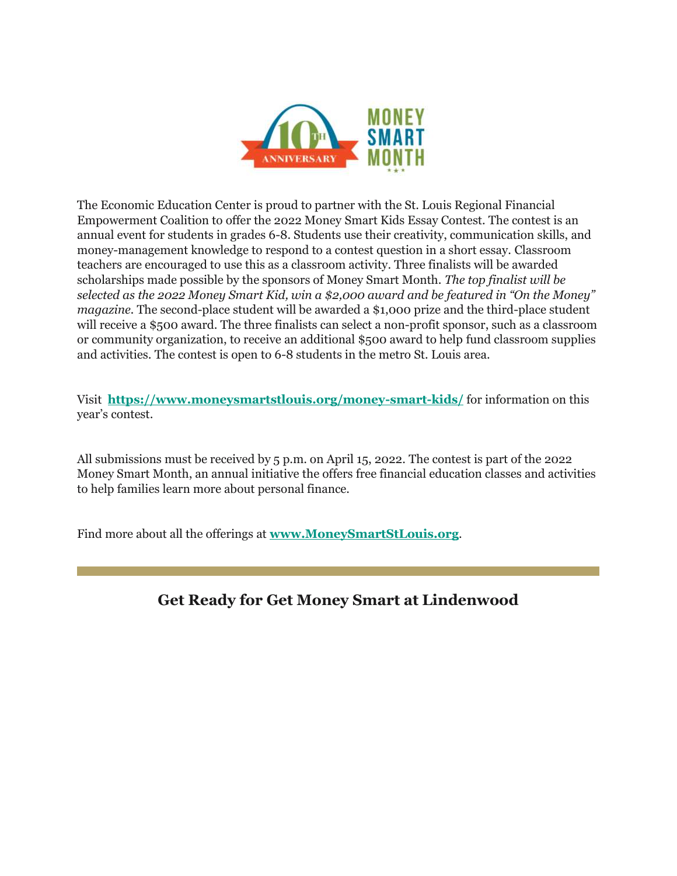

The Economic Education Center is proud to partner with the St. Louis Regional Financial Empowerment Coalition to offer the 2022 Money Smart Kids Essay Contest. The contest is an annual event for students in grades 6-8. Students use their creativity, communication skills, and money-management knowledge to respond to a contest question in a short essay. Classroom teachers are encouraged to use this as a classroom activity. Three finalists will be awarded scholarships made possible by the sponsors of Money Smart Month. *The top finalist will be selected as the 2022 Money Smart Kid, win a \$2,000 award and be featured in "On the Money" magazine.* The second-place student will be awarded a \$1,000 prize and the third-place student will receive a \$500 award. The three finalists can select a non-profit sponsor, such as a classroom or community organization, to receive an additional \$500 award to help fund classroom supplies and activities. The contest is open to 6-8 students in the metro St. Louis area.

Visit **[https://www.moneysmartstlouis.org/money-smart-kids/](https://nam04.safelinks.protection.outlook.com/?url=https%3A%2F%2Fr20.rs6.net%2Ftn.jsp%3Ff%3D001RwJbrR1rycLvZm9RY5nTOQqIID-zx5VzpgvTMieowEqI5Kcwl3kLZQTIrnGvvlzIG_ViZrk8mSRF3Hg0ty5FZDe8AWjOyEEm3g3QOCbkk6TKtw5-OAxCVVaBz5WbjWh4b8up9dyaHo2-c89EjnM6Ux7wt3y6AU6V_PKYF4Ux_wBstSjISG8Few%3D%3D%26c%3DS_5prijEaq2HEnmye7wklVbSR8BFXLk9XYyk4-0oVfinC2EzocGmNg%3D%3D%26ch%3DVJjzTsRrkbGSmFCU7hFQube9uowKm_iHHMo7dHR-3URrAge27Y-QSA%3D%3D&data=04%7C01%7Cphuffman%40lindenwood.edu%7C3e3cb4b4082f4f08f9c208d9fbc6974c%7C3d72f08e540a4c68905d9e69c4d9c61e%7C1%7C0%7C637817652626903677%7CUnknown%7CTWFpbGZsb3d8eyJWIjoiMC4wLjAwMDAiLCJQIjoiV2luMzIiLCJBTiI6Ik1haWwiLCJXVCI6Mn0%3D%7C3000&sdata=vxl3qFKlw9LP3UeO9WiQObvbVLZsNMzy7ZxyDegr5RU%3D&reserved=0)** for information on this year's contest.

All submissions must be received by 5 p.m. on April 15, 2022. The contest is part of the 2022 Money Smart Month, an annual initiative the offers free financial education classes and activities to help families learn more about personal finance.

Find more about all the offerings at **[www.MoneySmartStLouis.org](https://nam04.safelinks.protection.outlook.com/?url=https%3A%2F%2Fr20.rs6.net%2Ftn.jsp%3Ff%3D001RwJbrR1rycLvZm9RY5nTOQqIID-zx5VzpgvTMieowEqI5Kcwl3kLZQTIrnGvvlzIAZVv6m30PJ_zUKR66ln970w_Tt850JU9r6ZhboPM0Xjk8dhi29G5ajBjyF8nkRHC5lj5r3J3XCbUneSZkXNe8NH9D5RhXbiX%26c%3DS_5prijEaq2HEnmye7wklVbSR8BFXLk9XYyk4-0oVfinC2EzocGmNg%3D%3D%26ch%3DVJjzTsRrkbGSmFCU7hFQube9uowKm_iHHMo7dHR-3URrAge27Y-QSA%3D%3D&data=04%7C01%7Cphuffman%40lindenwood.edu%7C3e3cb4b4082f4f08f9c208d9fbc6974c%7C3d72f08e540a4c68905d9e69c4d9c61e%7C1%7C0%7C637817652626903677%7CUnknown%7CTWFpbGZsb3d8eyJWIjoiMC4wLjAwMDAiLCJQIjoiV2luMzIiLCJBTiI6Ik1haWwiLCJXVCI6Mn0%3D%7C3000&sdata=vNfZu%2F3eaiox14F5rNpRpQKR2chsbAp2lUej6JOlA3w%3D&reserved=0)**.

# **Get Ready for Get Money Smart at Lindenwood**